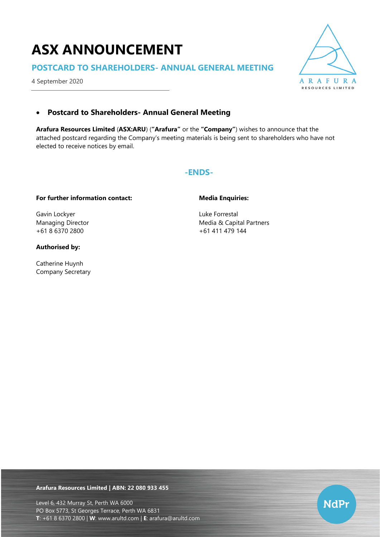# **ASX ANNOUNCEMENT**

# **POSTCARD TO SHAREHOLDERS- ANNUAL GENERAL MEETING**

4 September 2020



# • **Postcard to Shareholders- Annual General Meeting**

**Arafura Resources Limited** (**ASX:ARU**) (**"Arafura"** or the **"Company"**) wishes to announce that the attached postcard regarding the Company's meeting materials is being sent to shareholders who have not elected to receive notices by email.

## **-ENDS-**

## **For further information contact:**

Gavin Lockyer Managing Director +61 8 6370 2800

## **Authorised by:**

Catherine Huynh Company Secretary

## **Media Enquiries:**

Luke Forrestal Media & Capital Partners +61 411 479 144

**Arafura Resources Limited | ABN: 22 080 933 455**

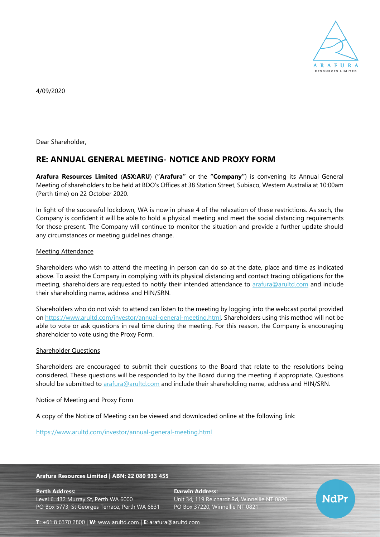

4/09/2020

Dear Shareholder,

# **RE: ANNUAL GENERAL MEETING- NOTICE AND PROXY FORM**

**Arafura Resources Limited** (**ASX:ARU**) (**"Arafura"** or the **"Company"**) is convening its Annual General Meeting of shareholders to be held at BDO's Offices at 38 Station Street, Subiaco, Western Australia at 10:00am (Perth time) on 22 October 2020.

In light of the successful lockdown, WA is now in phase 4 of the relaxation of these restrictions. As such, the Company is confident it will be able to hold a physical meeting and meet the social distancing requirements for those present. The Company will continue to monitor the situation and provide a further update should any circumstances or meeting guidelines change.

### Meeting Attendance

Shareholders who wish to attend the meeting in person can do so at the date, place and time as indicated above. To assist the Company in complying with its physical distancing and contact tracing obligations for the meeting, shareholders are requested to notify their intended attendance to [arafura@arultd.com](mailto:arafura@arultd.com) and include their shareholding name, address and HIN/SRN.

Shareholders who do not wish to attend can listen to the meeting by logging into the webcast portal provided on [https://www.arultd.com/investor/annual-general-meeting.html.](https://www.arultd.com/investor/annual-general-meeting.html) Shareholders using this method will not be able to vote or ask questions in real time during the meeting. For this reason, the Company is encouraging shareholder to vote using the Proxy Form.

#### Shareholder Questions

Shareholders are encouraged to submit their questions to the Board that relate to the resolutions being considered. These questions will be responded to by the Board during the meeting if appropriate. Questions should be submitted to [arafura@arultd.com](mailto:arafura@arultd.com) and include their shareholding name, address and HIN/SRN.

#### Notice of Meeting and Proxy Form

A copy of the Notice of Meeting can be viewed and downloaded online at the following link:

<https://www.arultd.com/investor/annual-general-meeting.html>

#### **Arafura Resources Limited | ABN: 22 080 933 455**

**Perth Address: Darwin Address:** Level 6, 432 Murray St, Perth WA 6000 Unit 34, 119 Reichardt Rd, Winnellie NT 0820 PO Box 5773, St Georges Terrace, Perth WA 6831 PO Box 37220, Winnellie NT 0821



**T**: +61 8 6370 2800 | **W**: [www.arultd.com](http://www.arultd.com/) | **E**: [arafura@arultd.com](mailto:arafura@arultd.com)